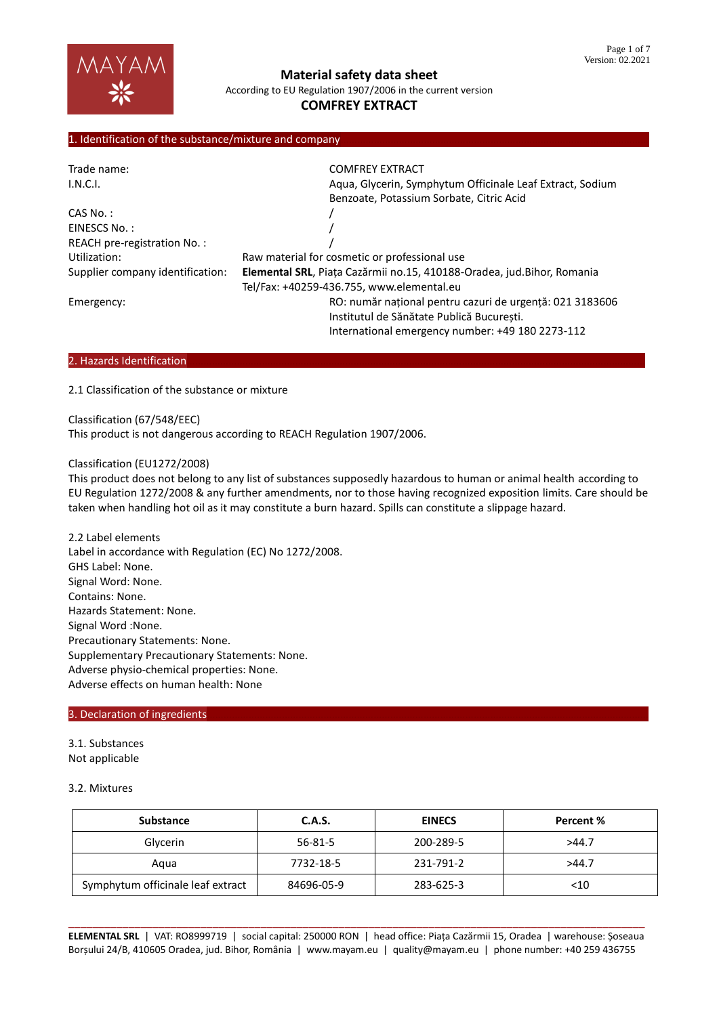

# **COMFREY EXTRACT**

## 1. Identification of the substance/mixture and company

| Trade name:                      | <b>COMFREY EXTRACT</b>                                                 |  |  |
|----------------------------------|------------------------------------------------------------------------|--|--|
| I.N.C.I.                         | Aqua, Glycerin, Symphytum Officinale Leaf Extract, Sodium              |  |  |
|                                  | Benzoate, Potassium Sorbate, Citric Acid                               |  |  |
| CAS No.:                         |                                                                        |  |  |
| EINESCS No.:                     |                                                                        |  |  |
| REACH pre-registration No.:      |                                                                        |  |  |
| Utilization:                     | Raw material for cosmetic or professional use                          |  |  |
| Supplier company identification: | Elemental SRL, Piața Cazărmii no.15, 410188-Oradea, jud.Bihor, Romania |  |  |
|                                  | Tel/Fax: +40259-436.755, www.elemental.eu                              |  |  |
| Emergency:                       | RO: număr național pentru cazuri de urgență: 021 3183606               |  |  |
|                                  | Institutul de Sănătate Publică București.                              |  |  |
|                                  | International emergency number: +49 180 2273-112                       |  |  |

#### 2. Hazards Identification

2.1 Classification of the substance or mixture

Classification (67/548/EEC)

This product is not dangerous according to REACH Regulation 1907/2006.

#### Classification (EU1272/2008)

This product does not belong to any list of substances supposedly hazardous to human or animal health according to EU Regulation 1272/2008 & any further amendments, nor to those having recognized exposition limits. Care should be taken when handling hot oil as it may constitute a burn hazard. Spills can constitute a slippage hazard.

2.2 Label elements Label in accordance with Regulation (EC) No 1272/2008. GHS Label: None. Signal Word: None. Contains: None. Hazards Statement: None. Signal Word :None. Precautionary Statements: None. Supplementary Precautionary Statements: None. Adverse physio-chemical properties: None. Adverse effects on human health: None

### 3. Declaration of ingredients

- 3.1. Substances
- Not applicable

## 3.2. Mixtures

| <b>Substance</b>                  | C.A.S.     | <b>EINECS</b> | Percent % |
|-----------------------------------|------------|---------------|-----------|
| Glycerin                          | 56-81-5    | 200-289-5     | >44.7     |
| Agua                              | 7732-18-5  | 231-791-2     | >44.7     |
| Symphytum officinale leaf extract | 84696-05-9 | 283-625-3     | $<$ 10    |

\_\_\_\_\_\_\_\_\_\_\_\_\_\_\_\_\_\_\_\_\_\_\_\_\_\_\_\_\_\_\_\_\_\_\_\_\_\_\_\_\_\_\_\_\_\_\_\_\_\_\_\_\_\_\_\_\_\_\_\_\_\_\_\_\_\_\_\_\_\_\_\_\_\_\_\_\_\_\_\_\_\_\_\_\_\_\_\_\_\_\_\_\_\_\_\_ **ELEMENTAL SRL** | VAT: RO8999719 | social capital: 250000 RON | head office: Piața Cazărmii 15, Oradea | warehouse: Șoseaua Borșului 24/B, 410605 Oradea, jud. Bihor, România | www.mayam.eu | quality@mayam.eu | phone number: +40 259 436755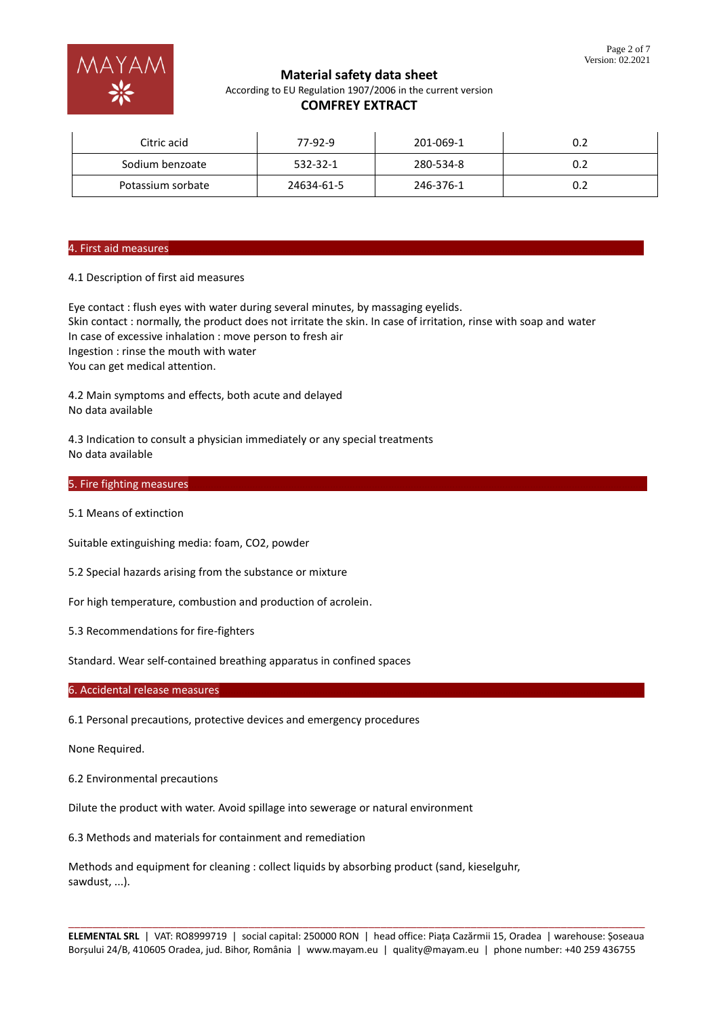

## **COMFREY EXTRACT**

| Citric acid       | 77-92-9    | 201-069-1 |  |
|-------------------|------------|-----------|--|
| Sodium benzoate   | 532-32-1   | 280-534-8 |  |
| Potassium sorbate | 24634-61-5 | 246-376-1 |  |

## 4. First aid measures

## 4.1 Description of first aid measures

Eye contact : flush eyes with water during several minutes, by massaging eyelids. Skin contact : normally, the product does not irritate the skin. In case of irritation, rinse with soap and water In case of excessive inhalation : move person to fresh air Ingestion : rinse the mouth with water You can get medical attention.

4.2 Main symptoms and effects, both acute and delayed No data available

4.3 Indication to consult a physician immediately or any special treatments No data available

#### 5. Fire fighting measures

5.1 Means of extinction

Suitable extinguishing media: foam, CO2, powder

5.2 Special hazards arising from the substance or mixture

For high temperature, combustion and production of acrolein.

5.3 Recommendations for fire-fighters

Standard. Wear self-contained breathing apparatus in confined spaces

#### 6. Accidental release measures

6.1 Personal precautions, protective devices and emergency procedures

None Required.

6.2 Environmental precautions

Dilute the product with water. Avoid spillage into sewerage or natural environment

6.3 Methods and materials for containment and remediation

Methods and equipment for cleaning : collect liquids by absorbing product (sand, kieselguhr, sawdust, ...).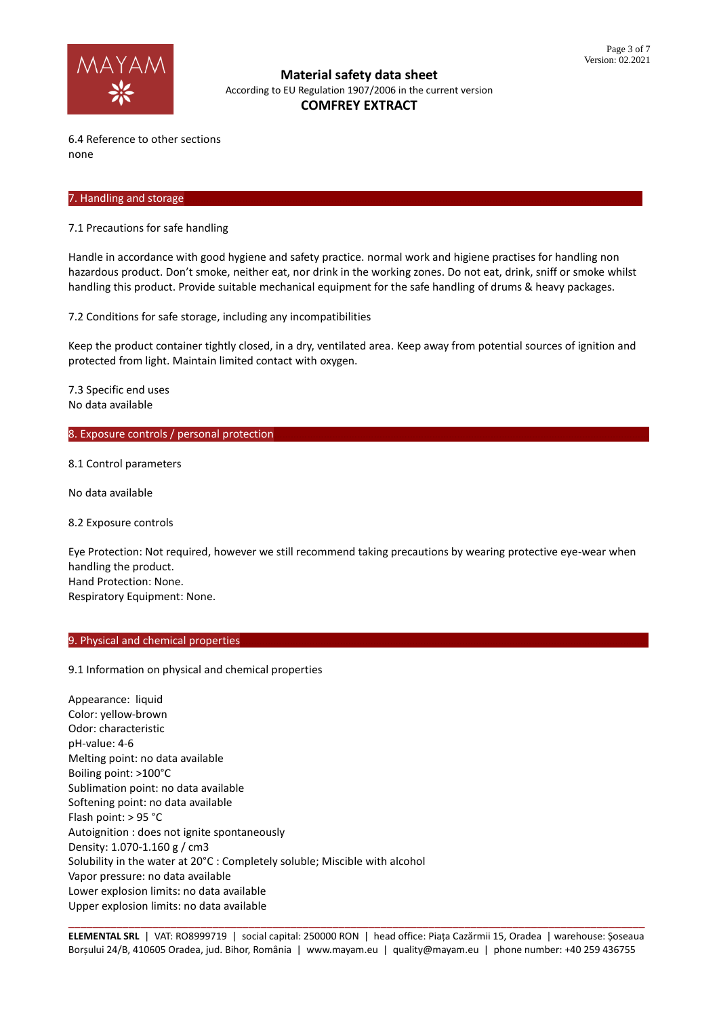

6.4 Reference to other sections none

### 7. Handling and storage

7.1 Precautions for safe handling

Handle in accordance with good hygiene and safety practice. normal work and higiene practises for handling non hazardous product. Don't smoke, neither eat, nor drink in the working zones. Do not eat, drink, sniff or smoke whilst handling this product. Provide suitable mechanical equipment for the safe handling of drums & heavy packages.

7.2 Conditions for safe storage, including any incompatibilities

Keep the product container tightly closed, in a dry, ventilated area. Keep away from potential sources of ignition and protected from light. Maintain limited contact with oxygen.

7.3 Specific end uses No data available

### 8. Exposure controls / personal protection

8.1 Control parameters

No data available

8.2 Exposure controls

Eye Protection: Not required, however we still recommend taking precautions by wearing protective eye-wear when handling the product. Hand Protection: None. Respiratory Equipment: None.

## 9. Physical and chemical properties

9.1 Information on physical and chemical properties

Appearance: liquid Color: yellow-brown Odor: characteristic pH-value: 4-6 Melting point: no data available Boiling point: >100°C Sublimation point: no data available Softening point: no data available Flash point: > 95 °C Autoignition : does not ignite spontaneously Density: 1.070-1.160 g / cm3 Solubility in the water at 20°C : Completely soluble; Miscible with alcohol Vapor pressure: no data available Lower explosion limits: no data available Upper explosion limits: no data available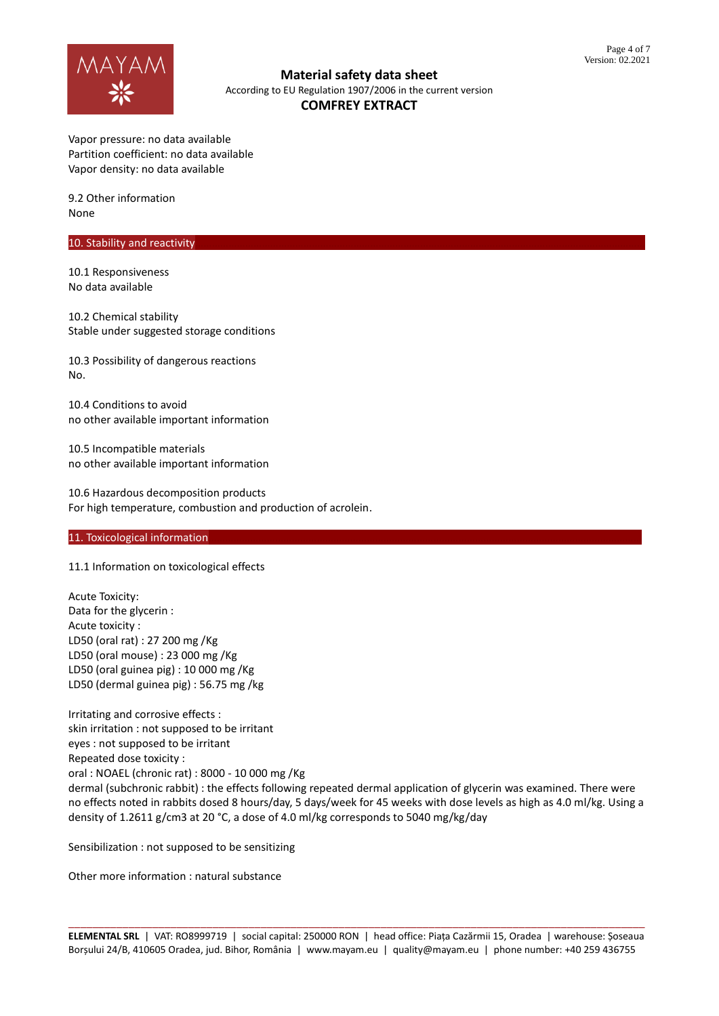

Vapor pressure: no data available Partition coefficient: no data available Vapor density: no data available

9.2 Other information None

## 10. Stability and reactivity

10.1 Responsiveness No data available

10.2 Chemical stability Stable under suggested storage conditions

10.3 Possibility of dangerous reactions No.

10.4 Conditions to avoid no other available important information

10.5 Incompatible materials no other available important information

10.6 Hazardous decomposition products For high temperature, combustion and production of acrolein.

## 11. Toxicological information

11.1 Information on toxicological effects

Acute Toxicity: Data for the glycerin : Acute toxicity : LD50 (oral rat) : 27 200 mg /Kg LD50 (oral mouse) : 23 000 mg /Kg LD50 (oral guinea pig) : 10 000 mg /Kg LD50 (dermal guinea pig) : 56.75 mg /kg

Irritating and corrosive effects : skin irritation : not supposed to be irritant eyes : not supposed to be irritant Repeated dose toxicity : oral : NOAEL (chronic rat) : 8000 - 10 000 mg /Kg dermal (subchronic rabbit) : the effects following repeated dermal application of glycerin was examined. There were no effects noted in rabbits dosed 8 hours/day, 5 days/week for 45 weeks with dose levels as high as 4.0 ml/kg. Using a density of 1.2611 g/cm3 at 20 °C, a dose of 4.0 ml/kg corresponds to 5040 mg/kg/day

Sensibilization : not supposed to be sensitizing

Other more information : natural substance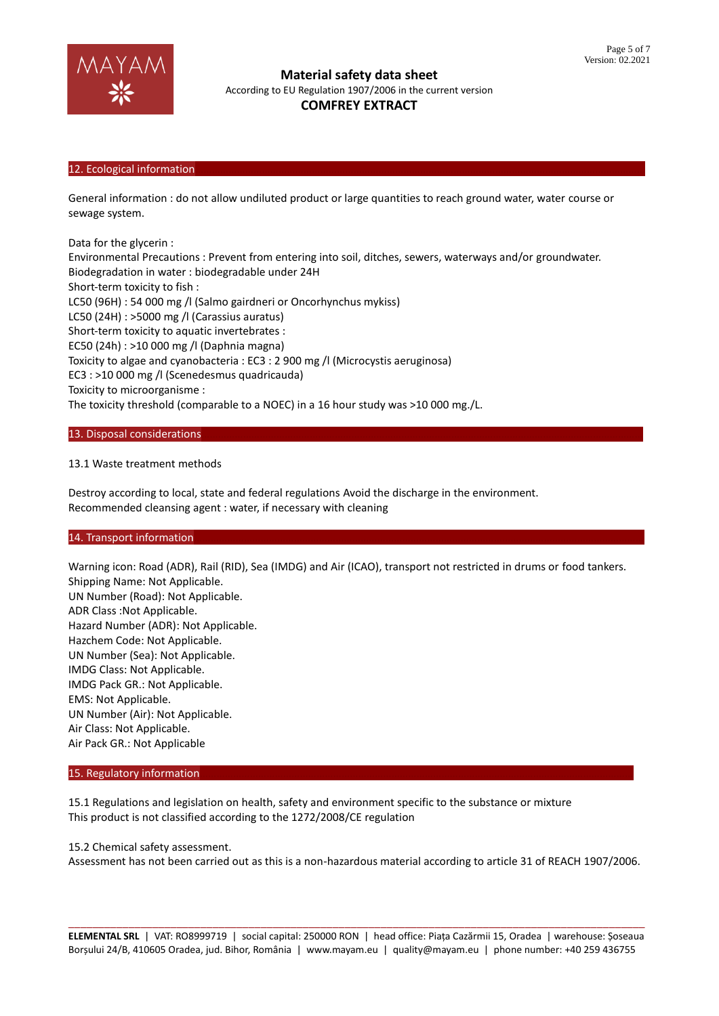

## 12. Ecological information

General information : do not allow undiluted product or large quantities to reach ground water, water course or sewage system.

Data for the glycerin :

Environmental Precautions : Prevent from entering into soil, ditches, sewers, waterways and/or groundwater. Biodegradation in water : biodegradable under 24H Short-term toxicity to fish : LC50 (96H) : 54 000 mg /l (Salmo gairdneri or Oncorhynchus mykiss) LC50 (24H) : >5000 mg /l (Carassius auratus) Short-term toxicity to aquatic invertebrates : EC50 (24h) : >10 000 mg /l (Daphnia magna) Toxicity to algae and cyanobacteria : EC3 : 2 900 mg /l (Microcystis aeruginosa) EC3 : >10 000 mg /l (Scenedesmus quadricauda) Toxicity to microorganisme : The toxicity threshold (comparable to a NOEC) in a 16 hour study was >10 000 mg./L.

#### 13. Disposal considerations

## 13.1 Waste treatment methods

Destroy according to local, state and federal regulations Avoid the discharge in the environment. Recommended cleansing agent : water, if necessary with cleaning

## 14. Transport information

Warning icon: Road (ADR), Rail (RID), Sea (IMDG) and Air (ICAO), transport not restricted in drums or food tankers. Shipping Name: Not Applicable. UN Number (Road): Not Applicable. ADR Class :Not Applicable. Hazard Number (ADR): Not Applicable. Hazchem Code: Not Applicable. UN Number (Sea): Not Applicable. IMDG Class: Not Applicable. IMDG Pack GR.: Not Applicable. EMS: Not Applicable. UN Number (Air): Not Applicable. Air Class: Not Applicable. Air Pack GR.: Not Applicable

#### 15. Regulatory information

15.1 Regulations and legislation on health, safety and environment specific to the substance or mixture This product is not classified according to the 1272/2008/CE regulation

#### 15.2 Chemical safety assessment.

Assessment has not been carried out as this is a non-hazardous material according to article 31 of REACH 1907/2006.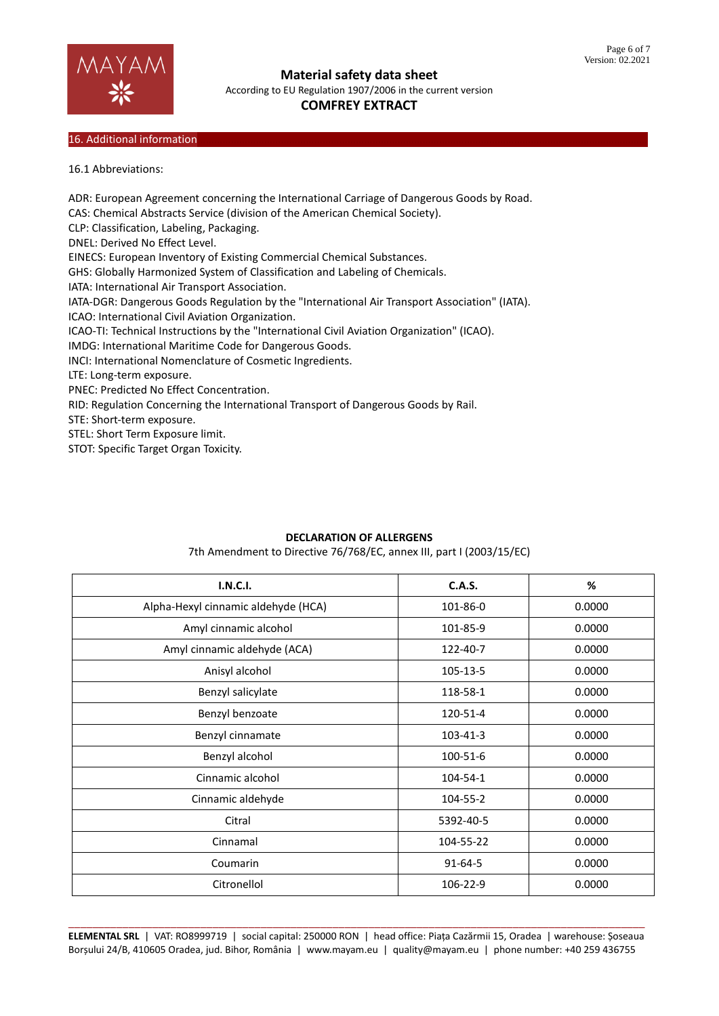

**Material safety data sheet**

According to EU Regulation 1907/2006 in the current version

# **COMFREY EXTRACT**

## 16. Additional information

16.1 Abbreviations:

ADR: European Agreement concerning the International Carriage of Dangerous Goods by Road. CAS: Chemical Abstracts Service (division of the American Chemical Society). CLP: Classification, Labeling, Packaging. DNEL: Derived No Effect Level. EINECS: European Inventory of Existing Commercial Chemical Substances. GHS: Globally Harmonized System of Classification and Labeling of Chemicals. IATA: International Air Transport Association. IATA-DGR: Dangerous Goods Regulation by the "International Air Transport Association" (IATA). ICAO: International Civil Aviation Organization. ICAO-TI: Technical Instructions by the "International Civil Aviation Organization" (ICAO). IMDG: International Maritime Code for Dangerous Goods. INCI: International Nomenclature of Cosmetic Ingredients. LTE: Long-term exposure. PNEC: Predicted No Effect Concentration. RID: Regulation Concerning the International Transport of Dangerous Goods by Rail. STE: Short-term exposure. STEL: Short Term Exposure limit. STOT: Specific Target Organ Toxicity.

## **DECLARATION OF ALLERGENS**

7th Amendment to Directive 76/768/EC, annex III, part I (2003/15/EC)

| <b>I.N.C.I.</b>                     | <b>C.A.S.</b> | $\%$   |
|-------------------------------------|---------------|--------|
| Alpha-Hexyl cinnamic aldehyde (HCA) | 101-86-0      | 0.0000 |
| Amyl cinnamic alcohol               | 101-85-9      | 0.0000 |
| Amyl cinnamic aldehyde (ACA)        | 122-40-7      | 0.0000 |
| Anisyl alcohol                      | 105-13-5      | 0.0000 |
| Benzyl salicylate                   | 118-58-1      | 0.0000 |
| Benzyl benzoate                     | 120-51-4      | 0.0000 |
| Benzyl cinnamate                    | 103-41-3      | 0.0000 |
| Benzyl alcohol                      | 100-51-6      | 0.0000 |
| Cinnamic alcohol                    | 104-54-1      | 0.0000 |
| Cinnamic aldehyde                   | 104-55-2      | 0.0000 |
| Citral                              | 5392-40-5     | 0.0000 |
| Cinnamal                            | 104-55-22     | 0.0000 |
| Coumarin                            | $91 - 64 - 5$ | 0.0000 |
| Citronellol                         | 106-22-9      | 0.0000 |

\_\_\_\_\_\_\_\_\_\_\_\_\_\_\_\_\_\_\_\_\_\_\_\_\_\_\_\_\_\_\_\_\_\_\_\_\_\_\_\_\_\_\_\_\_\_\_\_\_\_\_\_\_\_\_\_\_\_\_\_\_\_\_\_\_\_\_\_\_\_\_\_\_\_\_\_\_\_\_\_\_\_\_\_\_\_\_\_\_\_\_\_\_\_\_\_ **ELEMENTAL SRL** | VAT: RO8999719 | social capital: 250000 RON | head office: Piața Cazărmii 15, Oradea | warehouse: Șoseaua Borșului 24/B, 410605 Oradea, jud. Bihor, România | www.mayam.eu | quality@mayam.eu | phone number: +40 259 436755